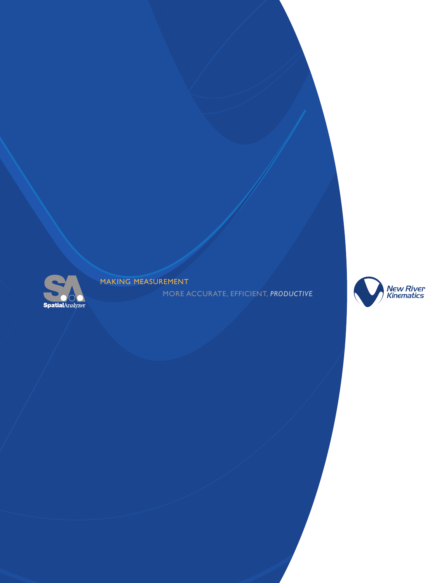

MAKING MEASUREMENT

MORE ACCURATE, EFFICIENT, *PRODUCTIVE*

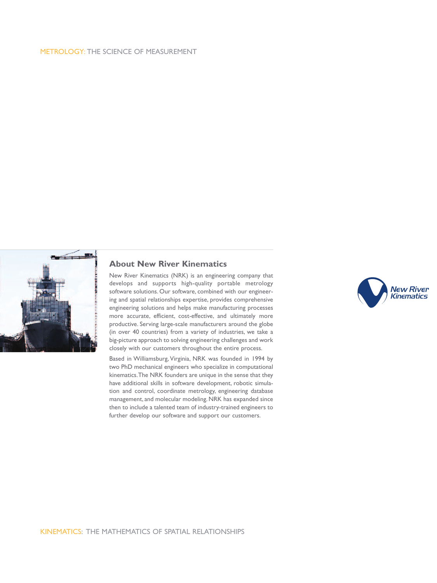#### METROLOGY: THE SCIENCE OF MEASUREMENT



### **About New River Kinematics**

New River Kinematics (NRK) is an engineering company that develops and supports high-quality portable metrology software solutions. Our software, combined with our engineering and spatial relationships expertise, provides comprehensive engineering solutions and helps make manufacturing processes more accurate, efficient, cost-effective, and ultimately more productive. Serving large-scale manufacturers around the globe (in over 40 countries) from a variety of industries, we take a big-picture approach to solving engineering challenges and work closely with our customers throughout the entire process.

Based in Williamsburg, Virginia, NRK was founded in 1994 by two PhD mechanical engineers who specialize in computational kinematics.The NRK founders are unique in the sense that they have additional skills in software development, robotic simulation and control, coordinate metrology, engineering database management, and molecular modeling. NRK has expanded since then to include a talented team of industry-trained engineers to further develop our software and support our customers.

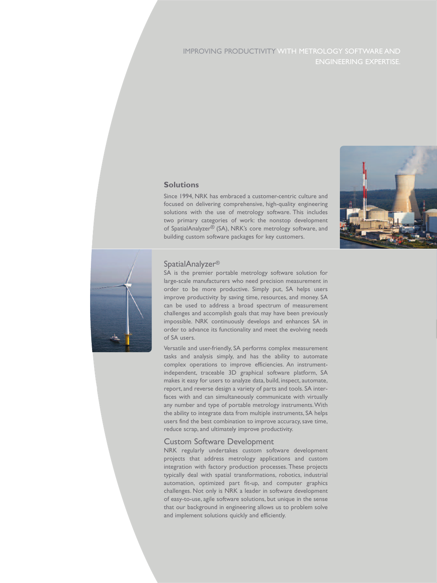# IMPROVING PRODUCTIVITY WITH METROLOGY SOFTWARE AND ENGINEERING EXPERTISE.



Since 1994, NRK has embraced a customer-centric culture and focused on delivering comprehensive, high-quality engineering solutions with the use of metrology software. This includes two primary categories of work: the nonstop development of SpatialAnalyzer® (SA), NRK's core metrology software, and building custom software packages for key customers.





#### SpatialAnalyzer®

SA is the premier portable metrology software solution for large-scale manufacturers who need precision measurement in order to be more productive. Simply put, SA helps users improve productivity by saving time, resources, and money. SA can be used to address a broad spectrum of measurement challenges and accomplish goals that may have been previously impossible. NRK continuously develops and enhances SA in order to advance its functionality and meet the evolving needs of SA users.

Versatile and user-friendly, SA performs complex measurement tasks and analysis simply, and has the ability to automate complex operations to improve efficiencies. An instrumentindependent, traceable 3D graphical software platform, SA makes it easy for users to analyze data, build, inspect, automate, report, and reverse design a variety of parts and tools. SA interfaces with and can simultaneously communicate with virtually any number and type of portable metrology instruments.With the ability to integrate data from multiple instruments, SA helps users find the best combination to improve accuracy, save time, reduce scrap, and ultimately improve productivity.

#### Custom Software Development

NRK regularly undertakes custom software development projects that address metrology applications and custom integration with factory production processes. These projects typically deal with spatial transformations, robotics, industrial automation, optimized part fit-up, and computer graphics challenges. Not only is NRK a leader in software development of easy-to-use, agile software solutions, but unique in the sense that our background in engineering allows us to problem solve and implement solutions quickly and efficiently.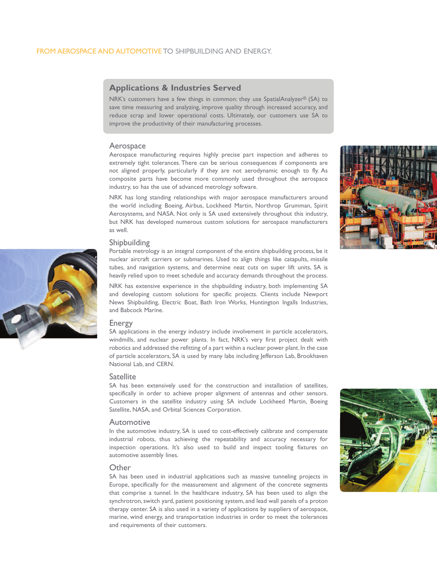## **Applications & Industries Served**

NRK's customers have a few things in common: they use SpatialAnalyzer® (SA) to save time measuring and analyzing, improve quality through increased accuracy, and reduce scrap and lower operational costs. Ultimately, our customers use SA to improve the productivity of their manufacturing processes.

Aerospace manufacturing requires highly precise part inspection and adheres to extremely tight tolerances. There can be serious consequences if components are not aligned properly, particularly if they are not aerodynamic enough to fly. As composite parts have become more commonly used throughout the aerospace industry, so has the use of advanced metrology software.

NRK has long standing relationships with major aerospace manufacturers around the world including Boeing, Airbus, Lockheed Martin, Northrop Grumman, Spirit Aerosystems, and NASA. Not only is SA used extensively throughout this industry, but NRK has developed numerous custom solutions for aerospace manufacturers as well.

#### Shipbuilding

Portable metrology is an integral component of the entire shipbuilding process, be it nuclear aircraft carriers or submarines. Used to align things like catapults, missile tubes, and navigation systems, and determine neat cuts on super lift units, SA is heavily relied upon to meet schedule and accuracy demands throughout the process.

NRK has extensive experience in the shipbuilding industry, both implementing SA and developing custom solutions for specific projects. Clients include Newport News Shipbuilding, Electric Boat, Bath Iron Works, Huntington Ingalls Industries, and Babcock Marine.

#### Energy

SA applications in the energy industry include involvement in particle accelerators, windmills, and nuclear power plants. In fact, NRK's very first project dealt with robotics and addressed the refitting of a part within a nuclear power plant. In the case of particle accelerators, SA is used by many labs including Jefferson Lab, Brookhaven National Lab, and CERN.

#### Satellite

SA has been extensively used for the construction and installation of satellites, specifically in order to achieve proper alignment of antennas and other sensors. Customers in the satellite industry using SA include Lockheed Martin, Boeing Satellite, NASA, and Orbital Sciences Corporation.

#### Automotive

In the automotive industry, SA is used to cost-effectively calibrate and compensate industrial robots, thus achieving the repeatability and accuracy necessary for inspection operations. It's also used to build and inspect tooling fixtures on automotive assembly lines.

#### **Other**

SA has been used in industrial applications such as massive tunneling projects in Europe, specifically for the measurement and alignment of the concrete segments that comprise a tunnel. In the healthcare industry, SA has been used to align the synchrotron,switch yard, patient positioning system, and lead wall panels of a proton therapy center. SA is also used in a variety of applications by suppliers of aerospace, marine, wind energy, and transportation industries in order to meet the tolerances and requirements of their customers.